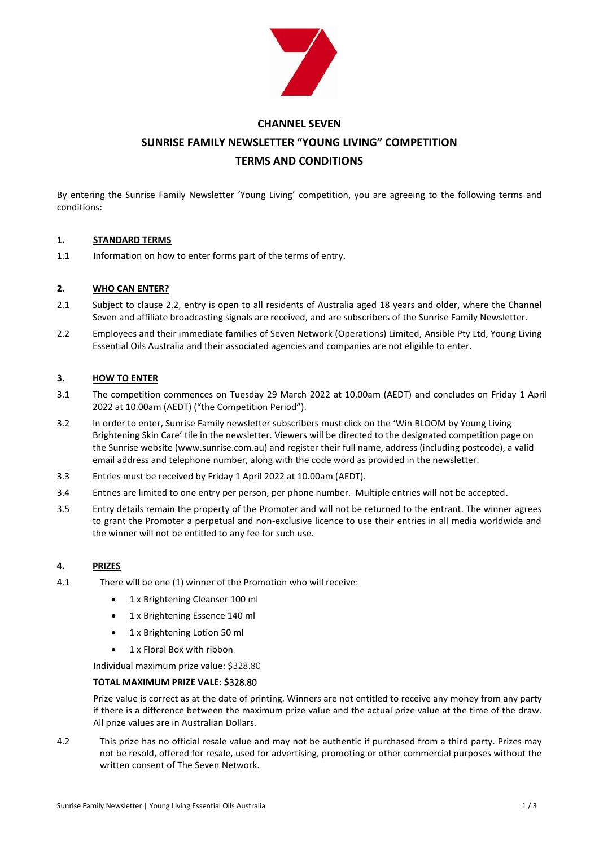

# **CHANNEL SEVEN SUNRISE FAMILY NEWSLETTER "YOUNG LIVING" COMPETITION TERMS AND CONDITIONS**

By entering the Sunrise Family Newsletter 'Young Living' competition, you are agreeing to the following terms and conditions:

## **1. STANDARD TERMS**

1.1 Information on how to enter forms part of the terms of entry.

## **2. WHO CAN ENTER?**

- 2.1 Subject to clause 2.2, entry is open to all residents of Australia aged 18 years and older, where the Channel Seven and affiliate broadcasting signals are received, and are subscribers of the Sunrise Family Newsletter.
- 2.2 Employees and their immediate families of Seven Network (Operations) Limited, Ansible Pty Ltd, Young Living Essential Oils Australia and their associated agencies and companies are not eligible to enter.

## **3. HOW TO ENTER**

- 3.1 The competition commences on Tuesday 29 March 2022 at 10.00am (AEDT) and concludes on Friday 1 April 2022 at 10.00am (AEDT) ("the Competition Period").
- 3.2 In order to enter, Sunrise Family newsletter subscribers must click on the 'Win BLOOM by Young Living Brightening Skin Care' tile in the newsletter. Viewers will be directed to the designated competition page on the Sunrise website (www.sunrise.com.au) and register their full name, address (including postcode), a valid email address and telephone number, along with the code word as provided in the newsletter.
- 3.3 Entries must be received by Friday 1 April 2022 at 10.00am (AEDT).
- 3.4 Entries are limited to one entry per person, per phone number. Multiple entries will not be accepted.
- 3.5 Entry details remain the property of the Promoter and will not be returned to the entrant. The winner agrees to grant the Promoter a perpetual and non-exclusive licence to use their entries in all media worldwide and the winner will not be entitled to any fee for such use.

### **4. PRIZES**

- 4.1 There will be one (1) winner of the Promotion who will receive:
	- 1 x Brightening Cleanser 100 ml
	- 1 x Brightening Essence 140 ml
	- 1 x Brightening Lotion 50 ml
	- 1 x Floral Box with ribbon

Individual maximum prize value: \$328.80

#### **TOTAL MAXIMUM PRIZE VALE: \$**328.80

Prize value is correct as at the date of printing. Winners are not entitled to receive any money from any party if there is a difference between the maximum prize value and the actual prize value at the time of the draw. All prize values are in Australian Dollars.

4.2 This prize has no official resale value and may not be authentic if purchased from a third party. Prizes may not be resold, offered for resale, used for advertising, promoting or other commercial purposes without the written consent of The Seven Network.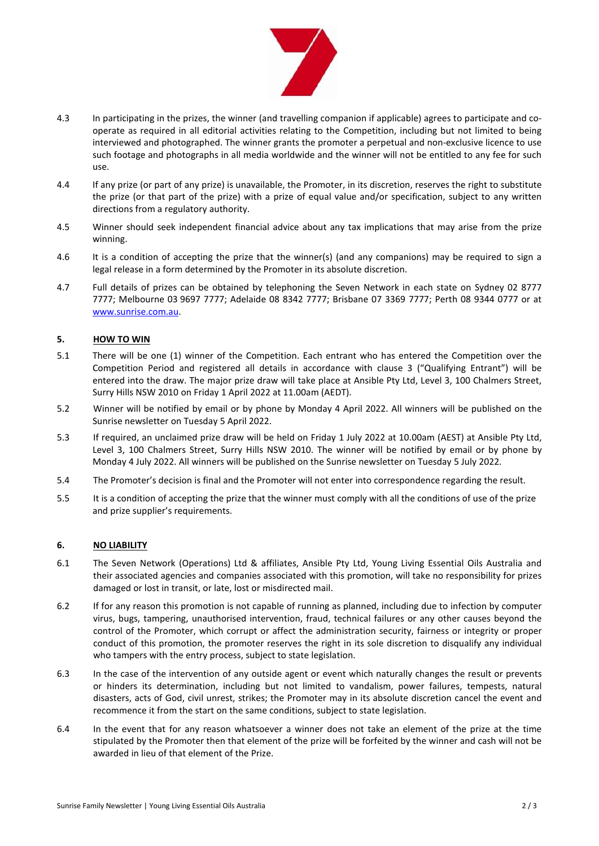

- 4.3 In participating in the prizes, the winner (and travelling companion if applicable) agrees to participate and cooperate as required in all editorial activities relating to the Competition, including but not limited to being interviewed and photographed. The winner grants the promoter a perpetual and non-exclusive licence to use such footage and photographs in all media worldwide and the winner will not be entitled to any fee for such use.
- 4.4 If any prize (or part of any prize) is unavailable, the Promoter, in its discretion, reserves the right to substitute the prize (or that part of the prize) with a prize of equal value and/or specification, subject to any written directions from a regulatory authority.
- 4.5 Winner should seek independent financial advice about any tax implications that may arise from the prize winning.
- 4.6 It is a condition of accepting the prize that the winner(s) (and any companions) may be required to sign a legal release in a form determined by the Promoter in its absolute discretion.
- 4.7 Full details of prizes can be obtained by telephoning the Seven Network in each state on Sydney 02 8777 7777; Melbourne 03 9697 7777; Adelaide 08 8342 7777; Brisbane 07 3369 7777; Perth 08 9344 0777 or at [www.sunrise.com.au.](http://www.sunrise.com.au/)

## **5. HOW TO WIN**

- 5.1 There will be one (1) winner of the Competition. Each entrant who has entered the Competition over the Competition Period and registered all details in accordance with clause 3 ("Qualifying Entrant") will be entered into the draw. The major prize draw will take place at Ansible Pty Ltd, Level 3, 100 Chalmers Street, Surry Hills NSW 2010 on Friday 1 April 2022 at 11.00am (AEDT).
- 5.2 Winner will be notified by email or by phone by Monday 4 April 2022. All winners will be published on the Sunrise newsletter on Tuesday 5 April 2022.
- 5.3 If required, an unclaimed prize draw will be held on Friday 1 July 2022 at 10.00am (AEST) at Ansible Pty Ltd, Level 3, 100 Chalmers Street, Surry Hills NSW 2010. The winner will be notified by email or by phone by Monday 4 July 2022. All winners will be published on the Sunrise newsletter on Tuesday 5 July 2022.
- 5.4 The Promoter's decision is final and the Promoter will not enter into correspondence regarding the result.
- 5.5 It is a condition of accepting the prize that the winner must comply with all the conditions of use of the prize and prize supplier's requirements.

## **6. NO LIABILITY**

- 6.1 The Seven Network (Operations) Ltd & affiliates, Ansible Pty Ltd, Young Living Essential Oils Australia and their associated agencies and companies associated with this promotion, will take no responsibility for prizes damaged or lost in transit, or late, lost or misdirected mail.
- 6.2 If for any reason this promotion is not capable of running as planned, including due to infection by computer virus, bugs, tampering, unauthorised intervention, fraud, technical failures or any other causes beyond the control of the Promoter, which corrupt or affect the administration security, fairness or integrity or proper conduct of this promotion, the promoter reserves the right in its sole discretion to disqualify any individual who tampers with the entry process, subject to state legislation.
- 6.3 In the case of the intervention of any outside agent or event which naturally changes the result or prevents or hinders its determination, including but not limited to vandalism, power failures, tempests, natural disasters, acts of God, civil unrest, strikes; the Promoter may in its absolute discretion cancel the event and recommence it from the start on the same conditions, subject to state legislation.
- 6.4 In the event that for any reason whatsoever a winner does not take an element of the prize at the time stipulated by the Promoter then that element of the prize will be forfeited by the winner and cash will not be awarded in lieu of that element of the Prize.